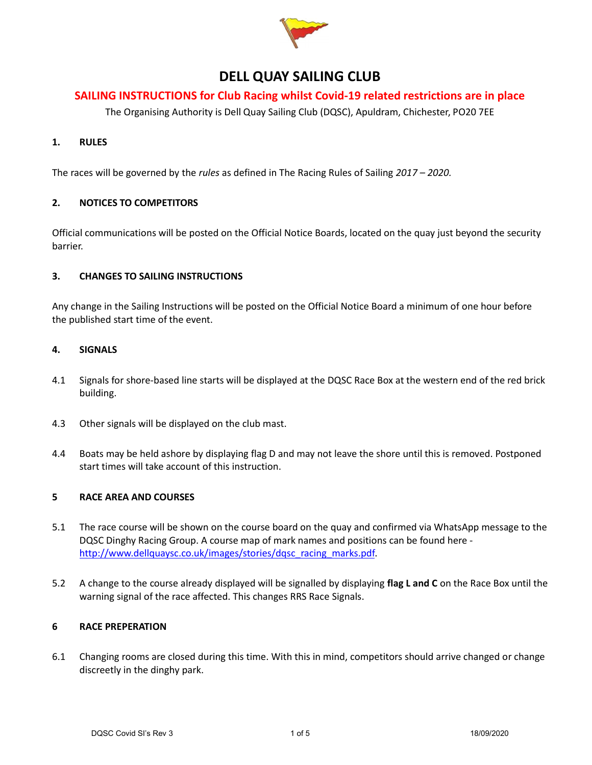

# DELL QUAY SAILING CLUB

# SAILING INSTRUCTIONS for Club Racing whilst Covid-19 related restrictions are in place

The Organising Authority is Dell Quay Sailing Club (DQSC), Apuldram, Chichester, PO20 7EE

## 1. RULES

The races will be governed by the *rules* as defined in The Racing Rules of Sailing 2017 – 2020.

#### 2. NOTICES TO COMPETITORS

Official communications will be posted on the Official Notice Boards, located on the quay just beyond the security barrier.

## 3. CHANGES TO SAILING INSTRUCTIONS

Any change in the Sailing Instructions will be posted on the Official Notice Board a minimum of one hour before the published start time of the event.

### 4. SIGNALS

- 4.1 Signals for shore-based line starts will be displayed at the DQSC Race Box at the western end of the red brick building.
- 4.3 Other signals will be displayed on the club mast.
- 4.4 Boats may be held ashore by displaying flag D and may not leave the shore until this is removed. Postponed start times will take account of this instruction.

## 5 RACE AREA AND COURSES

- 5.1 The race course will be shown on the course board on the quay and confirmed via WhatsApp message to the DQSC Dinghy Racing Group. A course map of mark names and positions can be found here http://www.dellquaysc.co.uk/images/stories/dqsc\_racing\_marks.pdf.
- 5.2 A change to the course already displayed will be signalled by displaying flag L and C on the Race Box until the warning signal of the race affected. This changes RRS Race Signals.

#### 6 RACE PREPERATION

6.1 Changing rooms are closed during this time. With this in mind, competitors should arrive changed or change discreetly in the dinghy park.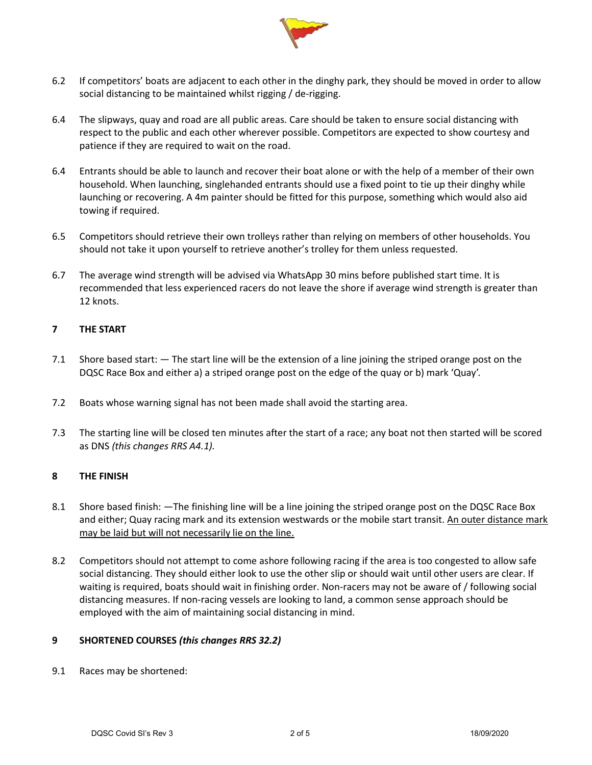

- 6.2 If competitors' boats are adjacent to each other in the dinghy park, they should be moved in order to allow social distancing to be maintained whilst rigging / de-rigging.
- 6.4 The slipways, quay and road are all public areas. Care should be taken to ensure social distancing with respect to the public and each other wherever possible. Competitors are expected to show courtesy and patience if they are required to wait on the road.
- 6.4 Entrants should be able to launch and recover their boat alone or with the help of a member of their own household. When launching, singlehanded entrants should use a fixed point to tie up their dinghy while launching or recovering. A 4m painter should be fitted for this purpose, something which would also aid towing if required.
- 6.5 Competitors should retrieve their own trolleys rather than relying on members of other households. You should not take it upon yourself to retrieve another's trolley for them unless requested.
- 6.7 The average wind strength will be advised via WhatsApp 30 mins before published start time. It is recommended that less experienced racers do not leave the shore if average wind strength is greater than 12 knots.

## 7 THE START

- 7.1 Shore based start: The start line will be the extension of a line joining the striped orange post on the DQSC Race Box and either a) a striped orange post on the edge of the quay or b) mark 'Quay'.
- 7.2 Boats whose warning signal has not been made shall avoid the starting area.
- 7.3 The starting line will be closed ten minutes after the start of a race; any boat not then started will be scored as DNS (this changes RRS A4.1).

## 8 THE FINISH

- 8.1 Shore based finish: —The finishing line will be a line joining the striped orange post on the DQSC Race Box and either; Quay racing mark and its extension westwards or the mobile start transit. An outer distance mark may be laid but will not necessarily lie on the line.
- 8.2 Competitors should not attempt to come ashore following racing if the area is too congested to allow safe social distancing. They should either look to use the other slip or should wait until other users are clear. If waiting is required, boats should wait in finishing order. Non-racers may not be aware of / following social distancing measures. If non-racing vessels are looking to land, a common sense approach should be employed with the aim of maintaining social distancing in mind.

## 9 SHORTENED COURSES (this changes RRS 32.2)

9.1 Races may be shortened: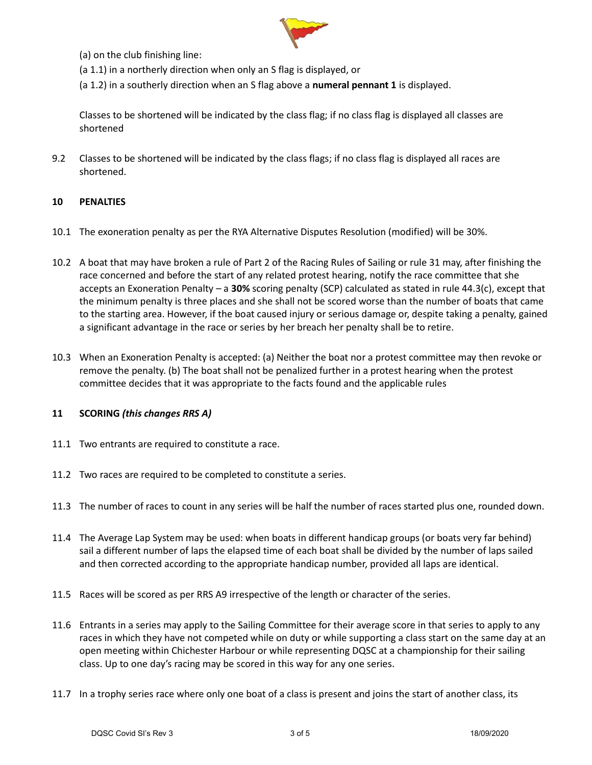

(a) on the club finishing line:

- (a 1.1) in a northerly direction when only an S flag is displayed, or
- (a 1.2) in a southerly direction when an S flag above a numeral pennant 1 is displayed.

Classes to be shortened will be indicated by the class flag; if no class flag is displayed all classes are shortened

9.2 Classes to be shortened will be indicated by the class flags; if no class flag is displayed all races are shortened.

## 10 PENALTIES

- 10.1 The exoneration penalty as per the RYA Alternative Disputes Resolution (modified) will be 30%.
- 10.2 A boat that may have broken a rule of Part 2 of the Racing Rules of Sailing or rule 31 may, after finishing the race concerned and before the start of any related protest hearing, notify the race committee that she accepts an Exoneration Penalty – a 30% scoring penalty (SCP) calculated as stated in rule 44.3(c), except that the minimum penalty is three places and she shall not be scored worse than the number of boats that came to the starting area. However, if the boat caused injury or serious damage or, despite taking a penalty, gained a significant advantage in the race or series by her breach her penalty shall be to retire.
- 10.3 When an Exoneration Penalty is accepted: (a) Neither the boat nor a protest committee may then revoke or remove the penalty. (b) The boat shall not be penalized further in a protest hearing when the protest committee decides that it was appropriate to the facts found and the applicable rules

#### 11 SCORING (this changes RRS A)

- 11.1 Two entrants are required to constitute a race.
- 11.2 Two races are required to be completed to constitute a series.
- 11.3 The number of races to count in any series will be half the number of races started plus one, rounded down.
- 11.4 The Average Lap System may be used: when boats in different handicap groups (or boats very far behind) sail a different number of laps the elapsed time of each boat shall be divided by the number of laps sailed and then corrected according to the appropriate handicap number, provided all laps are identical.
- 11.5 Races will be scored as per RRS A9 irrespective of the length or character of the series.
- 11.6 Entrants in a series may apply to the Sailing Committee for their average score in that series to apply to any races in which they have not competed while on duty or while supporting a class start on the same day at an open meeting within Chichester Harbour or while representing DQSC at a championship for their sailing class. Up to one day's racing may be scored in this way for any one series.
- 11.7 In a trophy series race where only one boat of a class is present and joins the start of another class, its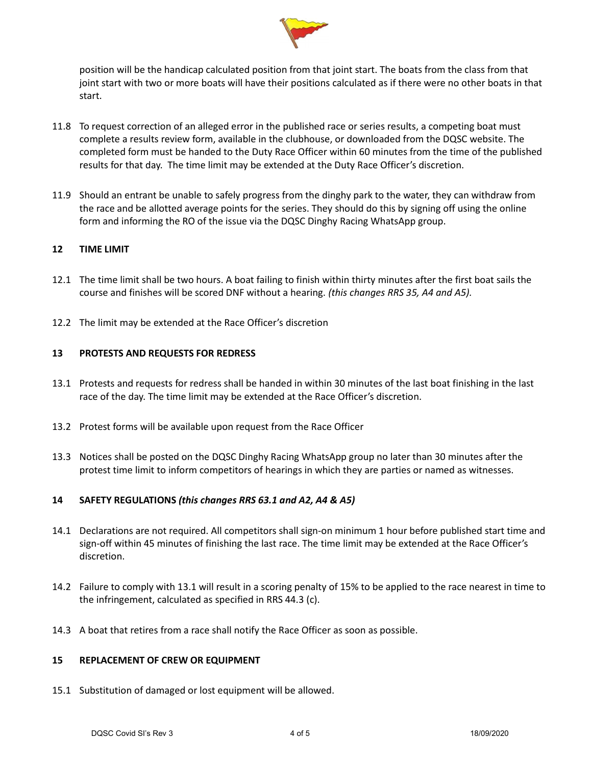

position will be the handicap calculated position from that joint start. The boats from the class from that joint start with two or more boats will have their positions calculated as if there were no other boats in that start.

- 11.8 To request correction of an alleged error in the published race or series results, a competing boat must complete a results review form, available in the clubhouse, or downloaded from the DQSC website. The completed form must be handed to the Duty Race Officer within 60 minutes from the time of the published results for that day. The time limit may be extended at the Duty Race Officer's discretion.
- 11.9 Should an entrant be unable to safely progress from the dinghy park to the water, they can withdraw from the race and be allotted average points for the series. They should do this by signing off using the online form and informing the RO of the issue via the DQSC Dinghy Racing WhatsApp group.

## 12 TIME LIMIT

- 12.1 The time limit shall be two hours. A boat failing to finish within thirty minutes after the first boat sails the course and finishes will be scored DNF without a hearing. (this changes RRS 35, A4 and A5).
- 12.2 The limit may be extended at the Race Officer's discretion

#### 13 PROTESTS AND REQUESTS FOR REDRESS

- 13.1 Protests and requests for redress shall be handed in within 30 minutes of the last boat finishing in the last race of the day. The time limit may be extended at the Race Officer's discretion.
- 13.2 Protest forms will be available upon request from the Race Officer
- 13.3 Notices shall be posted on the DQSC Dinghy Racing WhatsApp group no later than 30 minutes after the protest time limit to inform competitors of hearings in which they are parties or named as witnesses.

## 14 SAFETY REGULATIONS (this changes RRS 63.1 and A2, A4 & A5)

- 14.1 Declarations are not required. All competitors shall sign-on minimum 1 hour before published start time and sign-off within 45 minutes of finishing the last race. The time limit may be extended at the Race Officer's discretion.
- 14.2 Failure to comply with 13.1 will result in a scoring penalty of 15% to be applied to the race nearest in time to the infringement, calculated as specified in RRS 44.3 (c).
- 14.3 A boat that retires from a race shall notify the Race Officer as soon as possible.

#### 15 REPLACEMENT OF CREW OR EQUIPMENT

15.1 Substitution of damaged or lost equipment will be allowed.